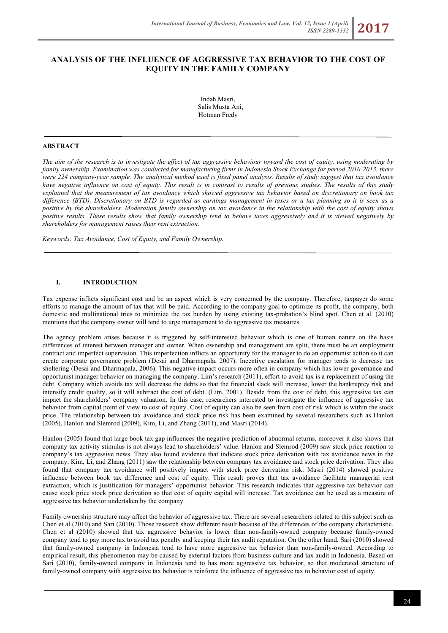# **ANALYSIS OF THE INFLUENCE OF AGGRESSIVE TAX BEHAVIOR TO THE COST OF EQUITY IN THE FAMILY COMPANY**

Indah Masri, Salis Musta Ani, Hotman Fredy

### **ABSTRACT**

*The aim of the research is to investigate the effect of tax aggressive behaviour toward the cost of equity, using moderating by family ownership. Examination was conducted for manufacturing firms in Indonesia Stock Exchange for period 2010-2013, there were 224 company-year sample. The analytical method used is fixed panel analysis. Results of study suggest that tax avoidance have negative influence on cost of equity. This result is in contrast to results of previous studies. The results of this study explained that the measurement of tax avoidance which showed aggressive tax behavior based on discretionary on book tax difference (BTD). Discretionary on BTD is regarded as earnings management in taxes or a tax planning so it is seen as a positive by the shareholders. Moderation family ownership on tax avoidance in the relationship with the cost of equity shows positive results. These results show that family ownership tend to behave taxes aggressively and it is viewed negatively by shareholders for management raises their rent extraction.*

*Keywords: Tax Avoidance, Cost of Equity, and Family Ownership.*

#### **I. INTRODUCTION**

Tax expense inflicts significant cost and be an aspect which is very concerned by the company. Therefore, taxpayer do some efforts to manage the amount of tax that will be paid. According to the company goal to optimize its profit, the company, both domestic and multinational tries to minimize the tax burden by using existing tax-probation's blind spot. Chen et al. (2010) mentions that the company owner will tend to urge management to do aggressive tax measures.

The agency problem arises because it is triggered by self-interested behavior which is one of human nature on the basis differences of interest between manager and owner. When ownership and management are split, there must be an employment contract and imperfect supervision. This imperfection inflicts an opportunity for the manager to do an opportunist action so it can create corporate governance problem (Desai and Dharmapala, 2007). Incentive escalation for manager tends to decrease tax sheltering (Desai and Dharmapala, 2006). This negative impact occurs more often in company which has lower governance and opportunist manager behavior on managing the company. Lim's research (2011), effort to avoid tax is a replacement of using the debt. Company which avoids tax will decrease the debts so that the financial slack will increase, lower the bankruptcy risk and intensify credit quality, so it will subtract the cost of debt. (Lim, 2001). Beside from the cost of debt, this aggressive tax can impact the shareholders' company valuation. In this case, researchers interested to investigate the influence of aggressive tax behavior from capital point of view to cost of equity. Cost of equity can also be seen from cost of risk which is within the stock price. The relationship between tax avoidance and stock price risk has been examined by several researchers such as Hanlon (2005), Hanlon and Slemrod (2009), Kim, Li, and Zhang (2011), and Masri (2014).

Hanlon (2005) found that large book tax gap influences the negative prediction of abnormal returns, moreover it also shows that company tax activity stimulus is not always lead to shareholders' value. Hanlon and Slemrod (2009) saw stock price reaction to company's tax aggressive news. They also found evidence that indicate stock price derivation with tax avoidance news in the company. Kim, Li, and Zhang (2011) saw the relationship between company tax avoidance and stock price derivation. They also found that company tax avoidance will positively impact with stock price derivation risk. Masri (2014) showed positive influence between book tax difference and cost of equity. This result proves that tax avoidance facilitate managerial rent extraction, which is justification for managers' opportunist behavior. This research indicates that aggressive tax behavior can cause stock price stock price derivation so that cost of equity capital will increase. Tax avoidance can be used as a measure of aggressive tax behavior undertaken by the company.

Family ownership structure may affect the behavior of aggressive tax. There are several researchers related to this subject such as Chen et al (2010) and Sari (2010). Those research show different result because of the differences of the company characteristic. Chen et al (2010) showed that tax aggressive behavior is lower than non-family-owned company because family-owned company tend to pay more tax to avoid tax penalty and keeping their tax audit reputation. On the other hand, Sari (2010) showed that family-owned company in Indonesia tend to have more aggressive tax behavior than non-family-owned. According to empirical result, this phenomenon may be caused by external factors from business culture and tax audit in Indonesia. Based on Sari (2010), family-owned company in Indonesia tend to has more aggressive tax behavior, so that moderated structure of family-owned company with aggressive tax behavior is reinforce the influence of aggressive tax to behavior cost of equity.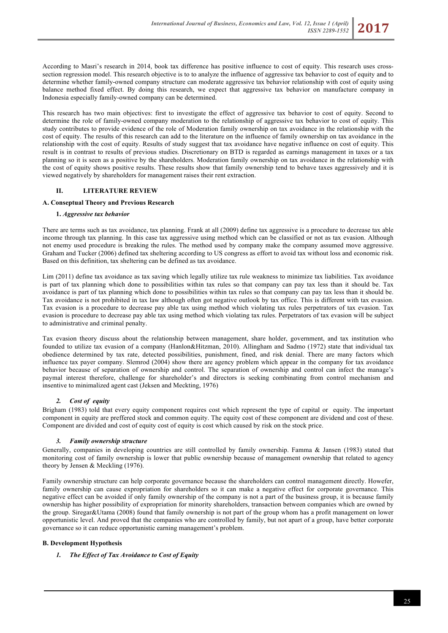According to Masri's research in 2014, book tax difference has positive influence to cost of equity. This research uses crosssection regression model. This research objective is to to analyze the influence of aggressive tax behavior to cost of equity and to determine whether family-owned company structure can moderate aggressive tax behavior relationship with cost of equity using balance method fixed effect. By doing this research, we expect that aggressive tax behavior on manufacture company in Indonesia especially family-owned company can be determined.

This research has two main objectives: first to investigate the effect of aggressive tax behavior to cost of equity. Second to determine the role of family-owned company moderation to the relationship of aggressive tax behavior to cost of equity. This study contributes to provide evidence of the role of Moderation family ownership on tax avoidance in the relationship with the cost of equity. The results of this research can add to the literature on the influence of family ownership on tax avoidance in the relationship with the cost of equity. Results of study suggest that tax avoidance have negative influence on cost of equity. This result is in contrast to results of previous studies. Discretionary on BTD is regarded as earnings management in taxes or a tax planning so it is seen as a positive by the shareholders. Moderation family ownership on tax avoidance in the relationship with the cost of equity shows positive results. These results show that family ownership tend to behave taxes aggressively and it is viewed negatively by shareholders for management raises their rent extraction.

# **II. LITERATURE REVIEW**

### **A. Conseptual Theory and Previous Research**

#### **1.** *Aggressive tax behavior*

There are terms such as tax avoidance, tax planning. Frank at all (2009) define tax aggressive is a procedure to decrease tax able income through tax planning. In this case tax aggressive using method which can be classified or not as tax evasion. Although not enemy used procedure is breaking the rules. The method used by company make the company assumed move aggressive. Graham and Tucker (2006) defined tax sheltering according to US congress as effort to avoid tax without loss and economic risk. Based on this definition, tax sheltering can be defined as tax avoidance.

Lim (2011) define tax avoidance as tax saving which legally utilize tax rule weakness to minimize tax liabilities. Tax avoidance is part of tax planning which done to possibilities within tax rules so that company can pay tax less than it should be. Tax avoidance is part of tax planning which done to possibilities within tax rules so that company can pay tax less than it should be. Tax avoidance is not prohibited in tax law although often got negative outlook by tax office. This is different with tax evasion. Tax evasion is a procedure to decrease pay able tax using method which violating tax rules perpetrators of tax evasion. Tax evasion is procedure to decrease pay able tax using method which violating tax rules. Perpetrators of tax evasion will be subject to administrative and criminal penalty.

Tax evasion theory discuss about the relationship between management, share holder, government, and tax institution who founded to utilize tax evasion of a company (Hanlon&Hitzman, 2010). Allingham and Sadmo (1972) state that individual tax obedience determined by tax rate, detected possibilities, punishment, fined, and risk denial. There are many factors which influence tax payer company. Slemrod (2004) show there are agency problem which appear in the company for tax avoidance behavior because of separation of ownership and control. The separation of ownership and control can infect the manage's paymal interest therefore, challenge for shareholder's and directors is seeking combinating from control mechanism and insentive to minimalized agent cast (Jeksen and Meckting, 1976)

### *2. Cost of equity*

Brigham (1983) told that every equity component requires cost which represent the type of capital or equity. The important component in equity are preffered stock and common equity. The equity cost of these component are dividend and cost of these. Component are divided and cost of equity cost of equity is cost which caused by risk on the stock price.

### *3. Family ownership structure*

Generally, companies in developing countries are still controlled by family ownership. Famma & Jansen (1983) stated that monitoring cost of family ownership is lower that public ownership because of management ownership that related to agency theory by Jensen & Meckling (1976).

Family ownership structure can help corporate governance because the shareholders can control management directly. Howefer, family ownership can cause expropriation for shareholders so it can make a negative effect for corporate governance. This negative effect can be avoided if only family ownership of the company is not a part of the business group, it is because family ownership has higher possibility of expropriation for minority shareholders, transaction between companies which are owned by the group. Siregar&Utama (2008) found that family ownership is not part of the group whom has a profit management on lower opportunistic level. And proved that the companies who are controlled by family, but not apart of a group, have better corporate governance so it can reduce opportunistic earning management's problem.

### **B. Development Hypothesis**

### *1. The Effect of Tax Avoidance to Cost of Equity*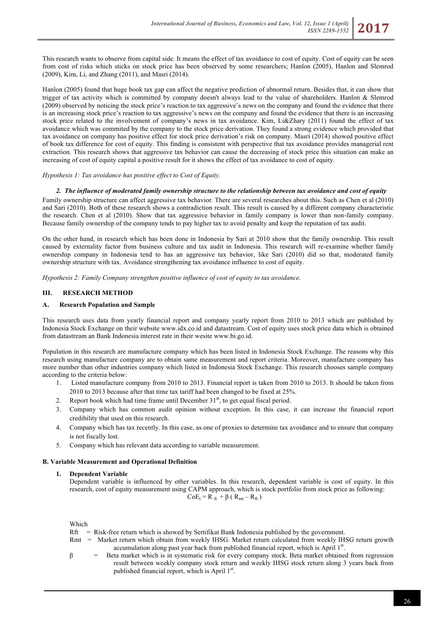This research wants to observe from capital side. It means the effect of tax avoidance to cost of equity. Cost of equity can be seen from cost of risks which sticks on stock price has been observed by some researchers; Hanlon (2005), Hanlon and Slemrod (2009), Kim, Li, and Zhang (2011), and Masri (2014).

Hanlon (2005) found that huge book tax gap can affect the negative prediction of abnormal return. Besides that, it can show that trigger of tax activity which is committed by company doesn't always lead to the value of shareholders. Hanlon & Slemrod (2009) observed by noticing the stock price's reaction to tax aggressive's news on the company and found the evidence that there is an increasing stock price's reaction to tax aggressive's news on the company and found the evidence that there is an increasing stock price related to the involvement of company's news in tax avoidance. Kim, Li&Zhary (2011) found the effect of tax avoidance which was commited by the company to the stock price derivation. They found a strong evidence which provided that tax avoidance on company has positive effect for stock price derivation's risk on company. Masri (2014) showed positive effect of book tax difference for cost of equity. This finding is consistent with perspective that tax avoidance provides managerial rent extraction. This research shows that aggressive tax behavior can cause the decreasing of stock price this situation can make an increasing of cost of equity capital a positive result for it shows the effect of tax avoidance to cost of equity.

#### *Hypothesis 1: Tax avoidance has positive effect to Cost of Equity.*

#### *2. The influence of moderated family ownership structure to the relationship between tax avoidance and cost of equity*

Family ownership structure can affect aggressive tax behavior. There are several researches about this. Such as Chen et al (2010) and Sari (2010). Both of these research shows a contradiction result. This result is caused by a different company characteristic the research. Chen et al (2010). Show that tax aggressive behavior in family company is lower than non-family company. Because family ownership of the company tends to pay higher tax to avoid penalty and keep the reputation of tax audit.

On the other hand, in research which has been done in Indonesia by Sari at 2010 show that the family ownership. This result caused by externality factor from business culture and tax audit in Indonesia. This research will re-examine whether family ownership company in Indonesia tend to has an aggressive tax behavior, like Sari (2010) did so that, moderated family ownership structure with tax. Avoidance strengthening tax avoidance influence to cost of equity.

*Hypothesis 2: Family Company strengthen positive influence of cost of equity to tax avoidance.*

### **III. RESEARCH METHOD**

#### **A. Research Population and Sample**

This research uses data from yearly financial report and company yearly report from 2010 to 2013 which are published by Indonesia Stock Exchange on their website www.idx.co.id and datastream. Cost of equity uses stock price data which is obtained from datastream an Bank Indonesia interest rate in their wesite www.bi.go.id.

Population in this research are manufacture company which has been listed in Indonesia Stock Exchange. The reasons why this research using manufacture company are to obtain same measurement and report criteria. Moreover, manufacture company has more number than other industries company which listed in Indonesia Stock Exchange. This research chooses sample company according to the criteria below:

- 1. Listed manufacture company from 2010 to 2013. Financial report is taken from 2010 to 2013. It should be taken from 2010 to 2013 because after that time tax tariff had been changed to be fixed at 25%.
- 2. Report book which had time frame until December  $31<sup>st</sup>$ , to get equal fiscal period.
- 3. Company which has common audit opinion without exception. In this case, it can increase the financial report credibility that used on this research.
- 4. Company which has tax recently. In this case, as one of proxies to determine tax avoidance and to ensure that company is not fiscally lost.
- 5. Company which has relevant data according to variable measurement.

#### **B. Variable Measurement and Operational Definition**

#### **1. Dependent Variable**

Dependent variable is influenced by other variables. In this research, dependent variable is cost of equity. In this research, cost of equity measurement using CAPM approach, which is stock portfolio from stock price as following:  $CoE_t = R_{ft} + \beta ( R_{mt} - R_{ft} )$ 

Which

- $Rft$  = Risk-free return which is showed by Sertifikat Bank Indonesia published by the government.
- Rmt = Market return which obtain from weekly IHSG. Market return calculated from weekly IHSG return growth accumulation along past year back from published financial report, which is April 1<sup>st</sup>.
- $β =$  Beta market which is in systematic risk for every company stock. Beta market obtained from regression result between weekly company stock return and weekly IHSG stock return along 3 years back from published financial report, which is April 1<sup>st</sup>.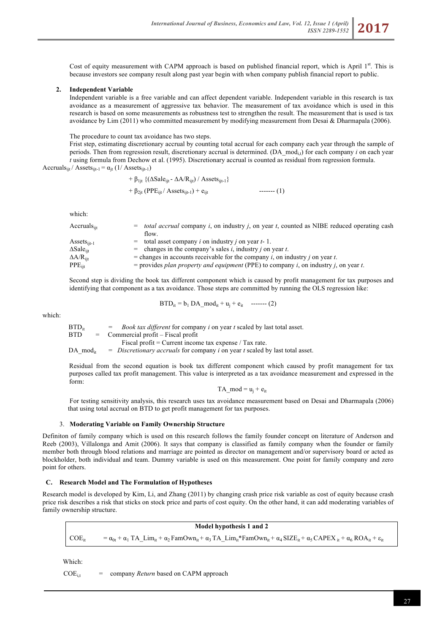Cost of equity measurement with CAPM approach is based on published financial report, which is April  $1<sup>st</sup>$ . This is because investors see company result along past year begin with when company publish financial report to public.

### **2. Independent Variable**

Independent variable is a free variable and can affect dependent variable. Independent variable in this research is tax avoidance as a measurement of aggressive tax behavior. The measurement of tax avoidance which is used in this research is based on some measurements as robustness test to strengthen the result. The measurement that is used is tax avoidance by Lim (2011) who committed measurement by modifying measurement from Desai & Dharmapala (2006).

The procedure to count tax avoidance has two steps. Frist step, estimating discretionary accrual by counting total accrual for each company each year through the sample of periods. Then from regression result, discretionary accrual is determined. (DA\_mod<sub>i,t</sub>) for each company *i* on each year *t* using formula from Dechow et al. (1995). Discretionary accrual is counted as residual from regression formula. Accruals<sub>ijt</sub> / Assets<sub>ijt-1</sub> =  $\alpha_{it}$  (1/ Assets<sub>ijt-1</sub>)

+ 
$$
\beta_{1jt}
$$
 {( $\Delta$ Sale<sub>ijt</sub> -  $\Delta A/R_{ijt}$ ) / Assets<sub>ijt-1</sub>}  
+  $\beta_{2jt}$  (PPE<sub>ijt</sub> / Assets<sub>ijt-1</sub>) + e<sub>ijt</sub>

which:

| Accruals <sub>iit</sub>     | $=$ <i>total accrual</i> company <i>i</i> , on industry <i>j</i> , on year <i>t</i> , counted as NIBE reduced operating cash |
|-----------------------------|------------------------------------------------------------------------------------------------------------------------------|
|                             | flow.                                                                                                                        |
| Assets <sub>iit-1</sub>     | $=$ total asset company <i>i</i> on industry <i>j</i> on year <i>t</i> -1.                                                   |
| $\Delta$ Sale $_{\rm{iit}}$ | = changes in the company's sales i, industry j on year t.                                                                    |
| $\Delta A/R_{\rm{jit}}$     | = changes in accounts receivable for the company i, on industry j on year t.                                                 |
| $\rm PPE_{ijt}$             | = provides plan property and equipment (PPE) to company i, on industry j, on year t.                                         |
|                             |                                                                                                                              |

Second step is dividing the book tax different component which is caused by profit management for tax purposes and identifying that component as a tax avoidance. Those steps are committed by running the OLS regression like:

$$
BTD_{it} = b_1 DA\_mod_{it} + u_j + e_{it} \quad \text{-----} (2)
$$

which:

 $BTD_{\text{tr}}$  = *Book tax different* for company *i* on year *t* scaled by last total asset. BTD = Commercial profit – Fiscal profit Fiscal profit = Current income tax expense / Tax rate. DA mod<sub>it</sub> = *Discretionary accruals* for company *i* on year *t* scaled by last total asset.

Residual from the second equation is book tax different component which caused by profit management for tax purposes called tax profit management. This value is interpreted as a tax avoidance measurement and expressed in the form:

 $TA$ \_mod =  $u_i$  +  $e_{it}$ 

For testing sensitivity analysis, this research uses tax avoidance measurement based on Desai and Dharmapala (2006) that using total accrual on BTD to get profit management for tax purposes.

### 3. **Moderating Variable on Family Ownership Structure**

Definiton of family company which is used on this research follows the family founder concept on literature of Anderson and Reeb (2003), Villalonga and Amit (2006). It says that company is classified as family company when the founder or family member both through blood relations and marriage are pointed as director on management and/or supervisory board or acted as blockholder, both individual and team. Dummy variable is used on this measurement. One point for family company and zero point for others.

### **C. Research Model and The Formulation of Hypotheses**

Research model is developed by Kim, Li, and Zhang (2011) by changing crash price risk variable as cost of equity because crash price risk describes a risk that sticks on stock price and parts of cost equity. On the other hand, it can add moderating variables of family ownership structure.

**Model hypothesis 1 and 2**  $COE_{it} = \alpha_{0t} + \alpha_1 T A_L Lim_{it} + \alpha_2 FamOwn_{it} + \alpha_3 T A_L Lim_{it} *FamOwn_{it} + \alpha_4 SIZE_{it} + \alpha_5 CAPEX_{it} + \alpha_6 ROA_{it} + \epsilon_{it}$ 

Which:

 $COE_{i,t}$  = company *Return* based on CAPM approach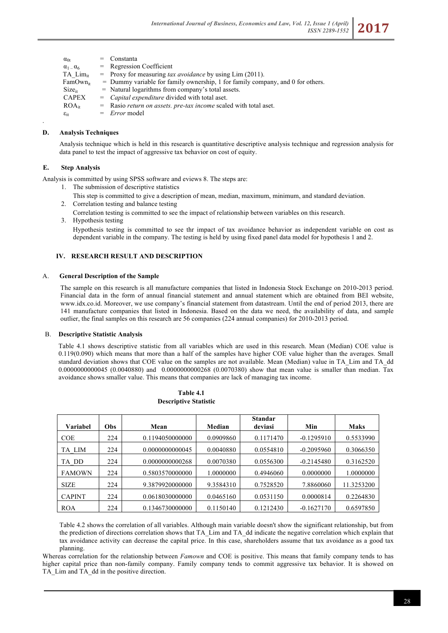| $\alpha_{0t}$          | $=$ Constanta                                                                    |
|------------------------|----------------------------------------------------------------------------------|
| $\alpha_1 = \alpha_6$  | $=$ Regression Coefficient                                                       |
| TA Lim <sub>it</sub>   | $=$ Proxy for measuring <i>tax avoidance</i> by using Lim (2011).                |
| FamOwn <sub>it</sub>   | $=$ Dummy variable for family ownership, 1 for family company, and 0 for others. |
| $Size_{it}$            | $=$ Natural logarithms from company's total assets.                              |
| <b>CAPEX</b>           | $=$ <i>Capital expenditure</i> divided with total aset.                          |
| $ROA_{it}$             | $=$ Rasio <i>return on assets, pre-tax income</i> scaled with total aset.        |
| $\varepsilon_{\rm it}$ | $= Error$ model                                                                  |
|                        |                                                                                  |

### **D. Analysis Techniques**

Analysis technique which is held in this research is quantitative descriptive analysis technique and regression analysis for data panel to test the impact of aggressive tax behavior on cost of equity.

# **E. Step Analysis**

.

Analysis is committed by using SPSS software and eviews 8. The steps are:

- 1. The submission of descriptive statistics
- This step is committed to give a description of mean, median, maximum, minimum, and standard deviation. 2. Correlation testing and balance testing

Correlation testing is committed to see the impact of relationship between variables on this research.

3. Hypothesis testing Hypothesis testing is committed to see thr impact of tax avoidance behavior as independent variable on cost as dependent variable in the company. The testing is held by using fixed panel data model for hypothesis 1 and 2.

# **IV. RESEARCH RESULT AND DESCRIPTION**

#### A. **General Description of the Sample**

The sample on this research is all manufacture companies that listed in Indonesia Stock Exchange on 2010-2013 period. Financial data in the form of annual financial statement and annual statement which are obtained from BEI website, www.idx.co.id. Moreover, we use company's financial statement from datastream. Until the end of period 2013, there are 141 manufacture companies that listed in Indonesia. Based on the data we need, the availability of data, and sample outlier, the final samples on this research are 56 companies (224 annual companies) for 2010-2013 period.

### B. **Descriptive Statistic Analysis**

Table 4.1 shows descriptive statistic from all variables which are used in this research. Mean (Median) COE value is 0.119(0.090) which means that more than a half of the samples have higher COE value higher than the averages. Small standard deviation shows that COE value on the samples are not available. Mean (Median) value in TA\_Lim and TA\_dd 0.0000000000045 (0.0040880) and 0.0000000000268 (0.0070380) show that mean value is smaller than median. Tax avoidance shows smaller value. This means that companies are lack of managing tax income.

|               |     |                 |           | <b>Standar</b> |              |             |
|---------------|-----|-----------------|-----------|----------------|--------------|-------------|
| Variabel      | Obs | Mean            | Median    | deviasi        | Min          | <b>Maks</b> |
| <b>COE</b>    | 224 | 0.1194050000000 | 0.0909860 | 0.1171470      | $-0.1295910$ | 0.5533990   |
| TA LIM        | 224 | 0.0000000000045 | 0.0040880 | 0.0554810      | $-0.2095960$ | 0.3066350   |
| TA DD         | 224 | 0.0000000000268 | 0.0070380 | 0.0556300      | $-0.2145480$ | 0.3162520   |
| <b>FAMOWN</b> | 224 | 0.5803570000000 | 1.0000000 | 0.4946060      | 0.0000000    | 1.0000000   |
| <b>SIZE</b>   | 224 | 9.3879920000000 | 9.3584310 | 0.7528520      | 7.8860060    | 11.3253200  |
| <b>CAPINT</b> | 224 | 0.0618030000000 | 0.0465160 | 0.0531150      | 0.0000814    | 0.2264830   |
| <b>ROA</b>    | 224 | 0.1346730000000 | 0.1150140 | 0.1212430      | $-0.1627170$ | 0.6597850   |

#### **Table 4.1 Descriptive Statistic**

Table 4.2 shows the correlation of all variables. Although main variable doesn't show the significant relationship, but from the prediction of directions correlation shows that TA\_Lim and TA\_dd indicate the negative correlation which explain that tax avoidance activity can decrease the capital price. In this case, shareholders assume that tax avoidance as a good tax planning.

Whereas correlation for the relationship between *Famown* and COE is positive. This means that family company tends to has higher capital price than non-family company. Family company tends to commit aggressive tax behavior. It is showed on TA Lim and TA dd in the positive direction.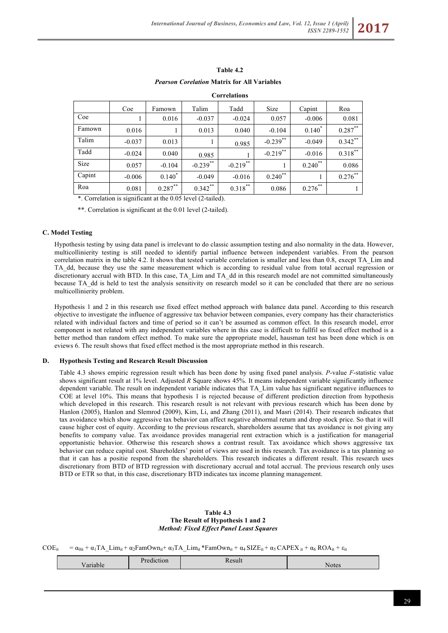| Table 4.2                                          |
|----------------------------------------------------|
| <i>Pearson Corelation Matrix for All Variables</i> |

|        |          |            |            | Correlations |             |            |            |
|--------|----------|------------|------------|--------------|-------------|------------|------------|
|        | Coe      | Famown     | Talim      | Tadd         | Size        | Capint     | Roa        |
| Coe    |          | 0.016      | $-0.037$   | $-0.024$     | 0.057       | $-0.006$   | 0.081      |
| Famown | 0.016    |            | 0.013      | 0.040        | $-0.104$    | $0.140*$   | $0.287***$ |
| Talim  | $-0.037$ | 0.013      | 1          | 0.985        | $-0.239$ ** | $-0.049$   | $0.342***$ |
| Tadd   | $-0.024$ | 0.040      | 0.985      |              | $-0.219$ ** | $-0.016$   | $0.318***$ |
| Size   | 0.057    | $-0.104$   | $-0.239**$ | $-0.219$ **  |             | $0.240**$  | 0.086      |
| Capint | $-0.006$ | $0.140*$   | $-0.049$   | $-0.016$     | $0.240$ **  |            | $0.276***$ |
| Roa    | 0.081    | $0.287***$ | $0.342***$ | $0.318***$   | 0.086       | $0.276***$ |            |

 **Correlations**

\*. Correlation is significant at the 0.05 level (2-tailed).

\*\*. Correlation is significant at the 0.01 level (2-tailed).

### **C. Model Testing**

Hypothesis testing by using data panel is irrelevant to do classic assumption testing and also normality in the data. However, multicollinierity testing is still needed to identify partial influence between independent variables. From the pearson correlation matrix in the table 4.2. It shows that tested variable correlation is smaller and less than 0.8, execpt TA\_Lim and TA dd, because they use the same measurement which is according to residual value from total accrual regression or discretionary accrual with BTD. In this case, TA\_Lim and TA\_dd in this research model are not committed simultaneously because TA\_dd is held to test the analysis sensitivity on research model so it can be concluded that there are no serious multicollinierity problem.

Hypothesis 1 and 2 in this research use fixed effect method approach with balance data panel. According to this research objective to investigate the influence of aggressive tax behavior between companies, every company has their characteristics related with individual factors and time of period so it can't be assumed as common effect. In this research model, error component is not related with any independent variables where in this case is difficult to fullfil so fixed effect method is a better method than random effect method. To make sure the appropriate model, hausman test has been done which is on eviews 6. The result shows that fixed effect method is the most appropriate method in this research.

### **D. Hypothesis Testing and Research Result Discussion**

Table 4.3 shows empiric regression result which has been done by using fixed panel analysis. *P*-value *F*-statistic value shows significant result at 1% level. Adjusted *R* Square shows 45%. It means independent variable significantly influence dependent variable. The result on independent variable indicates that TA\_Lim value has significant negative influences to COE at level 10%. This means that hypothesis 1 is rejected because of different prediction direction from hypothesis which developed in this research. This research result is not relevant with previous research which has been done by Hanlon (2005), Hanlon and Slemrod (2009), Kim, Li, and Zhang (2011), and Masri (2014). Their research indicates that tax avoidance which show aggressive tax behavior can affect negative abnormal return and drop stock price. So that it will cause higher cost of equity. According to the previous research, shareholders assume that tax avoidance is not giving any benefits to company value. Tax avoidance provides managerial rent extraction which is a justification for managerial opportunistic behavior. Otherwise this research shows a contrast result. Tax avoidance which shows aggressive tax behavior can reduce capital cost. Shareholders' point of views are used in this research. Tax avoidance is a tax planning so that it can has a positie respond from the shareholders. This research indicates a different result. This research uses discretionary from BTD of BTD regression with discretionary accrual and total accrual. The previous research only uses BTD or ETR so that, in this case, discretionary BTD indicates tax income planning management.

#### **Table 4.3 The Result of Hypothesis 1 and 2** *Method: Fixed Effect Panel Least Squares*

 $COE_{it} = \alpha_{0it} + \alpha_1 TA \text{ Lim}_{it} + \alpha_2FamOwn_{it} + \alpha_3TA \text{ Lim}_{it} + FamOwn_{it} + \alpha_4 SIZE_{it} + \alpha_5 CAPEX_{it} + \alpha_6 ROA_{it} + \epsilon_{it}$ 

|  | $\sim$ $\sim$ |     |
|--|---------------|-----|
|  |               | ⊿∩F |
|  |               |     |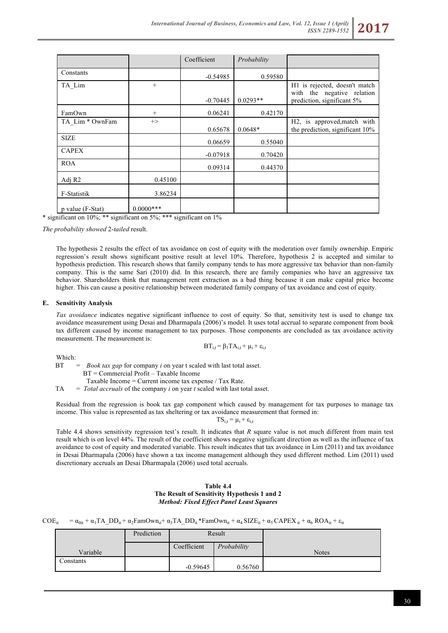|                    |               | Coefficient | Probability |                                                                |
|--------------------|---------------|-------------|-------------|----------------------------------------------------------------|
| Constants          |               | $-0.54985$  | 0.59580     |                                                                |
| TA Lim             | $+$           |             |             | H1 is rejected, doesn't match<br>with the negative relation    |
|                    |               | $-0.70445$  | $0.0293**$  | prediction, significant 5%                                     |
| FamOwn             | $+$           | 0.06241     | 0.42170     |                                                                |
| TA Lim * OwnFam    | $\rightarrow$ | 0.65678     | $0.0648*$   | H2, is approved, match with<br>the prediction, significant 10% |
| <b>SIZE</b>        |               | 0.06659     | 0.55040     |                                                                |
| <b>CAPEX</b>       |               | $-0.07918$  | 0.70420     |                                                                |
| <b>ROA</b>         |               | 0.09314     | 0.44370     |                                                                |
| Adj R <sub>2</sub> | 0.45100       |             |             |                                                                |
| F-Statistik        | 3.86234       |             |             |                                                                |
| p value (F-Stat)   | $0.0000***$   |             |             |                                                                |

\* significant on 10%; \*\* significant on 5%; \*\*\* significant on 1%

*The probability showed* 2-*tailed* result.

The hypothesis 2 results the effect of tax avoidance on cost of equity with the moderation over family ownership. Empiric regression's result shows significant positive result at level 10%. Therefore, hypothesis 2 is accepted and similar to hypothesis prediction. This research shows that family company tends to has more aggressive tax behavior than non-family company. This is the same Sari (2010) did. In this research, there are family companies who have an aggressive tax behavior. Shareholders think that management rent extraction as a bad thing because it can make capital price become higher. This can cause a positive relationship between moderated family company of tax avoidance and cost of equity.

#### **E. Sensitivity Analysis**

*Tax avoidance* indicates negative significant influence to cost of equity. So that, sensitivity test is used to change tax avoidance measurement using Desai and Dharmapala (2006)'s model. It uses total accrual to separate component from book tax different caused by income management to tax purposes. Those components are concluded as tax avoidance activity measurement. The measurement is:

$$
BT_{i,t} = \beta_1 TA_{i,t} + \mu_i + \epsilon_{i,t}
$$

Which:

BT = *Book tax gap* for company *i* on year t scaled with last total asset. BT = Commercial Profit – Taxable Income

Taxable Income = Current income tax expense / Tax Rate.

TA = *Total accruals* of the company *i* on year *t* scaled with last total asset.

Residual from the regression is book tax gap component which caused by management for tax purposes to manage tax income. This value is represented as tax sheltering or tax avoidance measurement that formed in:

 $TS_{i,t} = \mu_i + \varepsilon_{i,t}$ 

Table 4.4 shows sensitivity regression test's result. It indicates that *R* square value is not much different from main test result which is on level 44%. The result of the coefficient shows negative significant direction as well as the influence of tax avoidance to cost of equity and moderated variable. This result indicates that tax avoidance in Lim (2011) and tax avoidance in Desai Dharmapala (2006) have shown a tax income management although they used different method. Lim (2011) used discretionary accruals an Desai Dharmapala (2006) used total accruals.

### **Table 4.4 The Result of Sensitivity Hypothesis 1 and 2** *Method: Fixed Effect Panel Least Squares*

| $COE_{it} = \alpha_{0it} + \alpha_1 TA\_DD_{it} + \alpha_2 F$ am $Own_{it} + \alpha_3 TA\_DD_{it} * F$ am $Own_{it} + \alpha_4 SIZE_{it} + \alpha_5 CAPEX_{it} + \alpha_6 ROA_{it} + \epsilon_{it}$ |  |  |
|-----------------------------------------------------------------------------------------------------------------------------------------------------------------------------------------------------|--|--|
|-----------------------------------------------------------------------------------------------------------------------------------------------------------------------------------------------------|--|--|

|           | Prediction | Result      |             |              |
|-----------|------------|-------------|-------------|--------------|
| Variable  |            | Coefficient | Probability | <b>Notes</b> |
| Constants |            | $-0.59645$  | 0.56760     |              |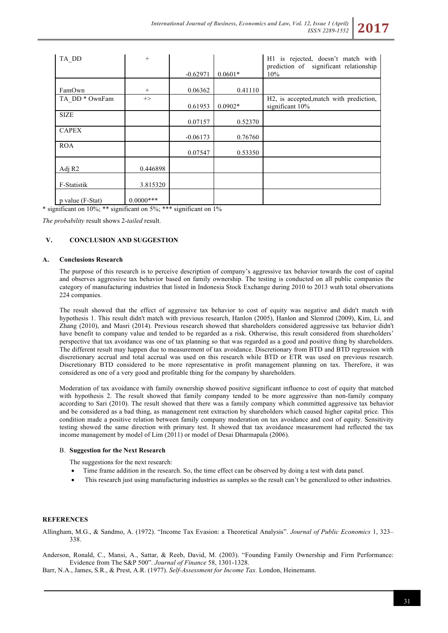| TA DD                     | $+$           |            |           | H1 is rejected, doesn't match with<br>prediction of significant relationship |
|---------------------------|---------------|------------|-----------|------------------------------------------------------------------------------|
|                           |               | $-0.62971$ | $0.0601*$ | 10%                                                                          |
| FamOwn                    | $+$           | 0.06362    | 0.41110   |                                                                              |
| TA DD <sup>*</sup> OwnFam | $\rightarrow$ | 0.61953    | $0.0902*$ | H2, is accepted, match with prediction,<br>significant 10%                   |
| <b>SIZE</b>               |               | 0.07157    | 0.52370   |                                                                              |
| <b>CAPEX</b>              |               | $-0.06173$ | 0.76760   |                                                                              |
| <b>ROA</b>                |               | 0.07547    | 0.53350   |                                                                              |
| Adj R <sub>2</sub>        | 0.446898      |            |           |                                                                              |
| F-Statistik               | 3.815320      |            |           |                                                                              |
| p value (F-Stat)          | $0.0000***$   |            |           |                                                                              |

\* significant on 10%; \*\* significant on 5%; \*\*\* significant on 1%

*The probability* result shows 2-*tailed* result.

# **V. CONCLUSION AND SUGGESTION**

### **A. Conclusions Research**

The purpose of this research is to perceive description of company's aggressive tax behavior towards the cost of capital and observes aggressive tax behavior based on family ownership. The testing is conducted on all public companies the category of manufacturing industries that listed in Indonesia Stock Exchange during 2010 to 2013 wuth total observations 224 companies.

The result showed that the effect of aggressive tax behavior to cost of equity was negative and didn't match with hypothesis 1. This result didn't match with previous research, Hanlon (2005), Hanlon and Slemrod (2009), Kim, Li, and Zhang (2010), and Masri (2014). Previous research showed that shareholders considered aggressive tax behavior didn't have benefit to company value and tended to be regarded as a risk. Otherwise, this result considered from shareholders' perspective that tax avoidance was one of tax planning so that was regarded as a good and positive thing by shareholders. The different result may happen due to measurement of tax avoidance. Discretionary from BTD and BTD regression with discretionary accrual and total accrual was used on this research while BTD or ETR was used on previous research. Discretionary BTD considered to be more representative in profit management planning on tax. Therefore, it was considered as one of a very good and profitable thing for the company by shareholders.

Moderation of tax avoidance with family ownership showed positive significant influence to cost of equity that matched with hypothesis 2. The result showed that family company tended to be more aggressive than non-family company according to Sari (2010). The result showed that there was a family company which committed aggressive tax behavior and be considered as a bad thing, as management rent extraction by shareholders which caused higher capital price. This condition made a positive relation between family company moderation on tax avoidance and cost of equity. Sensitivity testing showed the same direction with primary test. It showed that tax avoidance measurement had reflected the tax income management by model of Lim (2011) or model of Desai Dharmapala (2006).

#### B. **Suggestion for the Next Research**

The suggestions for the next research:

- Time frame addition in the research. So, the time effect can be observed by doing a test with data panel.
- This research just using manufacturing industries as samples so the result can't be generalized to other industries.

#### **REFERENCES**

Allingham, M.G., & Sandmo, A. (1972). "Income Tax Evasion: a Theoretical Analysis". *Journal of Public Economics* 1, 323– 338.

Anderson, Ronald, C., Mansi, A., Sattar, & Reeb, David, M. (2003). "Founding Family Ownership and Firm Performance: Evidence from The S&P 500". *Journal of Finance* 58, 1301-1328.

Barr, N.A., James, S.R., & Prest, A.R. (1977). *Self-Assessment for Income Tax.* London, Heinemann.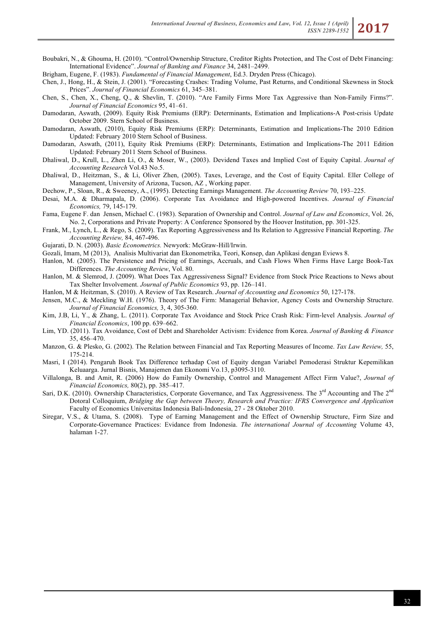Boubakri, N., & Ghouma, H. (2010). "Control/Ownership Structure, Creditor Rights Protection, and The Cost of Debt Financing: International Evidence". *Journal of Banking and Finance* 34, 2481–2499.

Brigham, Eugene, F. (1983). *Fundamental of Financial Management*, Ed.3. Dryden Press (Chicago).

- Chen, J., Hong, H., & Stein, J. (2001). "Forecasting Crashes: Trading Volume, Past Returns, and Conditional Skewness in Stock Prices". *Journal of Financial Economics* 61, 345–381.
- Chen, S., Chen, X., Cheng, Q., & Shevlin, T. (2010). "Are Family Firms More Tax Aggressive than Non-Family Firms?". *Journal of Financial Economics* 95, 41–61.
- Damodaran, Aswath, (2009). Equity Risk Premiums (ERP): Determinants, Estimation and Implications-A Post-crisis Update October 2009. Stern School of Business.
- Damodaran, Aswath, (2010), Equity Risk Premiums (ERP): Determinants, Estimation and Implications-The 2010 Edition Updated: February 2010 Stern School of Business.
- Damodaran, Aswath, (2011), Equity Risk Premiums (ERP): Determinants, Estimation and Implications-The 2011 Edition Updated: February 2011 Stern School of Business.
- Dhaliwal, D., Krull, L., Zhen Li, O., & Moser, W., (2003). Devidend Taxes and Implied Cost of Equity Capital. *Journal of Accounting Research* Vol.43 No.5.
- Dhaliwal, D., Heitzman, S., & Li, Oliver Zhen, (2005). Taxes, Leverage, and the Cost of Equity Capital. Eller College of Management, University of Arizona, Tucson, AZ , Working paper.
- Dechow, P., Sloan, R., & Sweeney, A., (1995). Detecting Earnings Management. *The Accounting Review* 70, 193–225.
- Desai, M.A. & Dharmapala, D. (2006). Corporate Tax Avoidance and High-powered Incentives. *Journal of Financial Economics,* 79, 145-179.
- Fama, Eugene F. dan Jensen, Michael C. (1983). Separation of Ownership and Control. *Journal of Law and Economics*, Vol. 26, No. 2, Corporations and Private Property: A Conference Sponsored by the Hoover Institution, pp. 301-325.
- Frank, M., Lynch, L., & Rego, S. (2009). Tax Reporting Aggressiveness and Its Relation to Aggressive Financial Reporting. *The Accounting Review,* 84, 467-496.
- Gujarati, D. N. (2003). *Basic Econometrics.* Newyork: McGraw-Hill/Irwin.
- Gozali, Imam, M (2013), Analisis Multivariat dan Ekonometrika, Teori, Konsep, dan Aplikasi dengan Eviews 8.
- Hanlon, M. (2005). The Persistence and Pricing of Earnings, Accruals, and Cash Flows When Firms Have Large Book-Tax Differences. *The Accounting Review*, Vol. 80.
- Hanlon, M. & Slemrod, J. (2009). What Does Tax Aggressiveness Signal? Evidence from Stock Price Reactions to News about Tax Shelter Involvement. *Journal of Public Economics* 93, pp. 126–141.
- Hanlon, M & Heitzman, S. (2010). A Review of Tax Research. *Journal of Accounting and Economics* 50, 127-178.
- Jensen, M.C., & Meckling W.H. (1976). Theory of The Firm: Managerial Behavior, Agency Costs and Ownership Structure. *Journal of Financial Economics,* 3, 4, 305-360.
- Kim, J.B, Li, Y., & Zhang, L. (2011). Corporate Tax Avoidance and Stock Price Crash Risk: Firm-level Analysis. *Journal of Financial Economics*, 100 pp. 639–662.
- Lim, YD. (2011). Tax Avoidance, Cost of Debt and Shareholder Activism: Evidence from Korea. *Journal of Banking & Finance* 35, 456–470.
- Manzon, G. & Plesko, G. (2002). The Relation between Financial and Tax Reporting Measures of Income. *Tax Law Review,* 55, 175-214.
- Masri, I (2014). Pengaruh Book Tax Difference terhadap Cost of Equity dengan Variabel Pemoderasi Struktur Kepemilikan Keluaarga. Jurnal Bisnis, Manajemen dan Ekonomi Vo.13, p3095-3110.
- Villalonga, B. and Amit, R. (2006) How do Family Ownership, Control and Management Affect Firm Value?, *Journal of Financial Economics,* 80(2), pp. 385–417.
- Sari, D.K. (2010). Ownership Characteristics, Corporate Governance, and Tax Aggressiveness. The  $3<sup>rd</sup>$  Accounting and The  $2<sup>nd</sup>$ Dotoral Colloquium, *Bridging the Gap between Theory, Research and Practice: IFRS Convergence and Application*  Faculty of Economics Universitas Indonesia Bali-Indonesia, 27 - 28 Oktober 2010.
- Siregar, V.S., & Utama, S. (2008). Type of Earning Management and the Effect of Ownership Structure, Firm Size and Corporate-Governance Practices: Evidance from Indonesia. *The international Journal of Accounting* Volume 43, halaman 1-27.